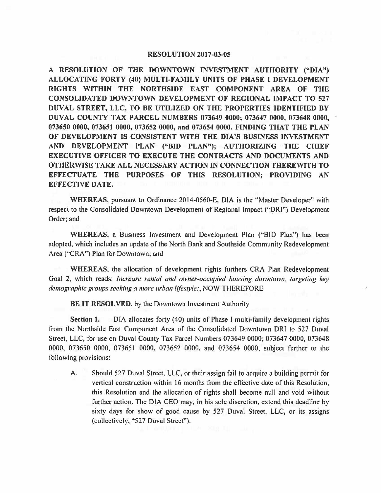## **RESOLUTION 2017-03-05**

**A RESOLUTION OF THE DOWNTOWN INVESTMENT AUTHORITY ("DIA") ALLOCATING FORTY (40) MULTI-FAMILY UNITS OF PHASE** I **DEVELOPMENT RIGHTS WITHIN THE NORTHSIDE EAST COMPONENT AREA OF THE CONSOLIDATED DOWNTOWN DEVELOPMENT OF REGIONAL IMPACT TO** 527 **DUVAL STREET, LLC, TO BE UTILIZED ON THE PROPERTIES IDENTIFIED BY DUVAL COUNTY TAX PARCEL NUMBERS** 073649 **0000;** 073647 **0000, 073648 0000,** - 073650 0000, 073651 0000, 073652 0000, and 073654 0000. FINDING THAT THE PLAN **OF DEVELOPMENT IS CONSISTENT WITH THE DIA'S BUSINESS INVESTMENT AND DEVELOPMENT PLAN ("BID PLAN"); AUTHORIZING THE CHIEF EXECUTIVE OFFICER TO EXECUTE THE CONTRACTS AND DOCUMENTS AND OTHERWISE TAKE ALL NECESSARY ACTION IN CONNECTION THEREWITH TO EFFECTUATE THE PURPOSES OF THIS RESOLUTION; PROVIDING AN EFFECTIVE DATE.** 

**WHEREAS,** pursuant to Ordinance 2014-0560-E, DIA is the "Master Developer" with respect to the Consolidated Downtown Development of Regional Impact ("DRI") Development Order; and

**WHEREAS,** a Business Investment and Development Plan ("BID Plan") has been adopted, which includes an update of the North Bank and Southside Community Redevelopment Area ("CRA") Plan for Downtown; and

**WHEREAS,** the allocation of development rights furthers CRA Plan Redevelopment Goal 2, which reads: *Increase rental and owner-occupied housing downtown, targeting key demographic groups seeking a more urban lifestyle;,* NOW THEREFORE

**BE IT RESOLVED, by the Downtown Investment Authority** 

**Section 1.** DIA allocates forty (40) units of Phase I multi-family development rights from the Northside East Component Area of the Consolidated Downtown DRI to 527 Duval Street, LLC, for use on Duval County Tax Parcel Numbers 073649 0000; 073647 0000, 073648 0000, 073650 0000, 073651 0000, 073652 0000, and 073654 0000, subject further to the following provisions:

A. Should 527 Duval Street, LLC, or their assign fail to acquire a building permit for vertical construction within 16 months from the effective date of this Resolution, this Resolution and the allocation of rights shall become null and void without further action. The DIA CEO may, in his sole discretion, extend this deadline by sixty days for show of good cause by 527 Duval Street, LLC, or its assigns (collectively, "527 Duval Street").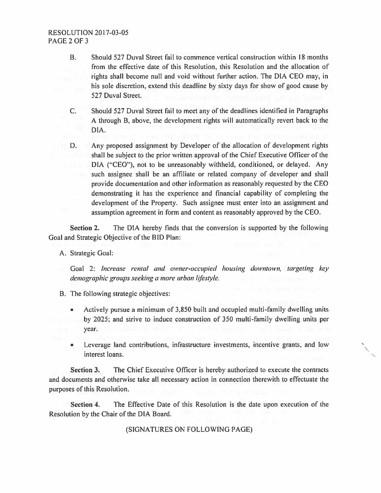- B. Should 527 Duval Street fail to commence vertical construction within 18 months from the effective date of this Resolution, this Resolution and the allocation of rights shall become null and void without further action. The DIA CEO may, in his sole discretion, extend this deadline by sixty days for show of good cause by 527 Duval Street.
- C. Should 527 Duval Street fail to meet any of the deadlines identified in Paragraphs A through B, above, the development rights will automatically revert back to the DIA.
- D. Any proposed assignment by Developer of the allocation of development rights shall be subject to the prior written approval of the Chief Executive Officer of the DIA ("CEO"), not to be unreasonably withheld, conditioned, or delayed. Any such assignee shall be an affiliate or related company of developer and shall provide documentation and other information as reasonably requested by the CEO demonstrating it has the experience and financial capability of completing the development of the Property. Such assignee must enter into an assignment and assumption agreement in form and content as reasonably approved by the CEO.

**Section 2.** The DIA hereby finds that the conversion is supported by the following Goal and Strategic Objective of the BID Plan:

A. Strategic Goal:

Goal 2: *Increase renlal and owner-occupied housing downtown, targeting key demographic groups seeking a more urban lifestyle.* 

- B. The following strategic objectives:
	- Actively pursue a minimum of 3,850 built and occupied multi-family dwelling units by 2025; and strive to induce construction of 350 multi-family dwelling units per year.
	- Leverage land contributions, infrastructure investments, incentive grants, and low interest loans.

'

**Section 3.** The Chief Executive Officer is hereby authorized to execute the contracts and documents and otherwise take all necessary action in connection therewith to effectuate the purposes of this Resolution.

**Section 4.** The Effective Date of this Resolution is the date upon execution of the Resolution by the Chair of the DIA Board.

(SIGNATURES ON FOLLOWING PAGE)